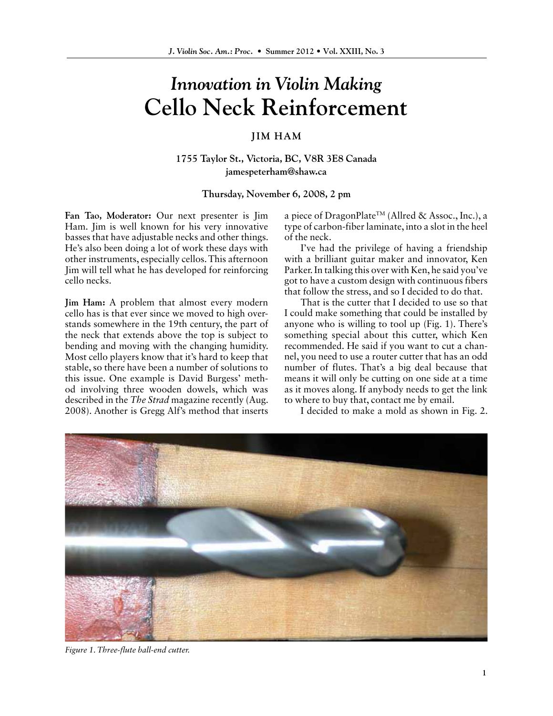## *Innovation in Violin Making* **Cello Neck Reinforcement**

## **JIM HAM**

**1755 Taylor St., Victoria, BC, V8R 3E8 Canada jamespeterham@shaw.ca**

## **Thursday, November 6, 2008, 2 pm**

**Fan Tao, Moderator:** Our next presenter is Jim Ham. Jim is well known for his very innovative basses that have adjustable necks and other things. He's also been doing a lot of work these days with other instruments, especially cellos. This afternoon Jim will tell what he has developed for reinforcing cello necks.

**Jim Ham:** A problem that almost every modern cello has is that ever since we moved to high overstands somewhere in the 19th century, the part of the neck that extends above the top is subject to bending and moving with the changing humidity. Most cello players know that it's hard to keep that stable, so there have been a number of solutions to this issue. One example is David Burgess' method involving three wooden dowels, which was described in the *The Strad* magazine recently (Aug. 2008). Another is Gregg Alf's method that inserts a piece of DragonPlateTM (Allred & Assoc., Inc.), a type of carbon-fiber laminate, into a slot in the heel of the neck.

I've had the privilege of having a friendship with a brilliant guitar maker and innovator, Ken Parker. In talking this over with Ken, he said you've got to have a custom design with continuous fibers that follow the stress, and so I decided to do that.

That is the cutter that I decided to use so that I could make something that could be installed by anyone who is willing to tool up (Fig. 1). There's something special about this cutter, which Ken recommended. He said if you want to cut a channel, you need to use a router cutter that has an odd number of flutes. That's a big deal because that means it will only be cutting on one side at a time as it moves along. If anybody needs to get the link to where to buy that, contact me by email.

I decided to make a mold as shown in Fig. 2.



*Figure 1. Three-flute ball-end cutter.*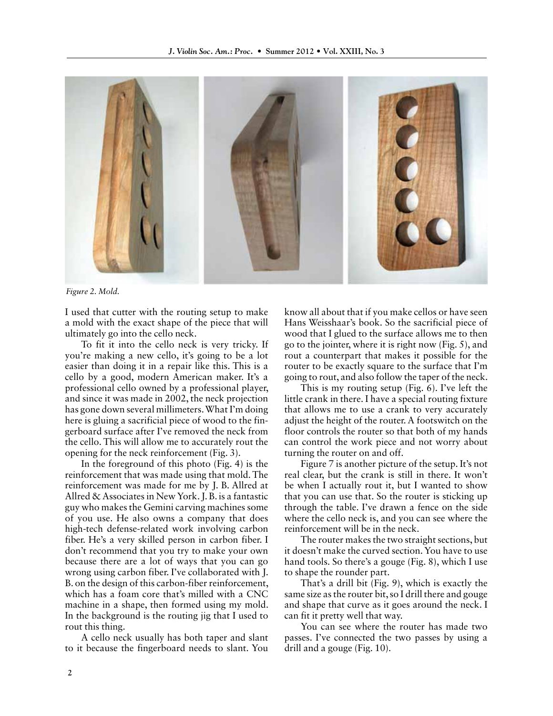

*Figure 2. Mold.*

I used that cutter with the routing setup to make a mold with the exact shape of the piece that will ultimately go into the cello neck.

To fit it into the cello neck is very tricky. If you're making a new cello, it's going to be a lot easier than doing it in a repair like this. This is a cello by a good, modern American maker. It's a professional cello owned by a professional player, and since it was made in 2002, the neck projection has gone down several millimeters. What I'm doing here is gluing a sacrificial piece of wood to the fingerboard surface after I've removed the neck from the cello. This will allow me to accurately rout the opening for the neck reinforcement (Fig. 3).

In the foreground of this photo (Fig. 4) is the reinforcement that was made using that mold. The reinforcement was made for me by J. B. Allred at Allred & Associates in New York. J. B. is a fantastic guy who makes the Gemini carving machines some of you use. He also owns a company that does high-tech defense-related work involving carbon fiber. He's a very skilled person in carbon fiber. I don't recommend that you try to make your own because there are a lot of ways that you can go wrong using carbon fiber. I've collaborated with J. B. on the design of this carbon-fiber reinforcement, which has a foam core that's milled with a CNC machine in a shape, then formed using my mold. In the background is the routing jig that I used to rout this thing.

A cello neck usually has both taper and slant to it because the fingerboard needs to slant. You know all about that if you make cellos or have seen Hans Weisshaar's book. So the sacrificial piece of wood that I glued to the surface allows me to then go to the jointer, where it is right now (Fig. 5), and rout a counterpart that makes it possible for the router to be exactly square to the surface that I'm going to rout, and also follow the taper of the neck.

This is my routing setup (Fig. 6). I've left the little crank in there. I have a special routing fixture that allows me to use a crank to very accurately adjust the height of the router. A footswitch on the floor controls the router so that both of my hands can control the work piece and not worry about turning the router on and off.

Figure 7 is another picture of the setup. It's not real clear, but the crank is still in there. It won't be when I actually rout it, but I wanted to show that you can use that. So the router is sticking up through the table. I've drawn a fence on the side where the cello neck is, and you can see where the reinforcement will be in the neck.

The router makes the two straight sections, but it doesn't make the curved section. You have to use hand tools. So there's a gouge (Fig. 8), which I use to shape the rounder part.

That's a drill bit (Fig. 9), which is exactly the same size as the router bit, so I drill there and gouge and shape that curve as it goes around the neck. I can fit it pretty well that way.

You can see where the router has made two passes. I've connected the two passes by using a drill and a gouge (Fig. 10).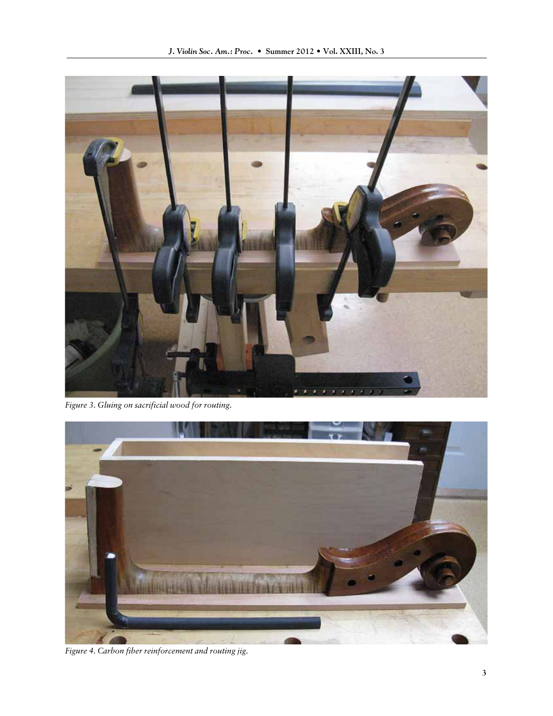

*Figure 3. Gluing on sacrificial wood for routing.*



*Figure 4. Carbon fiber reinforcement and routing jig.*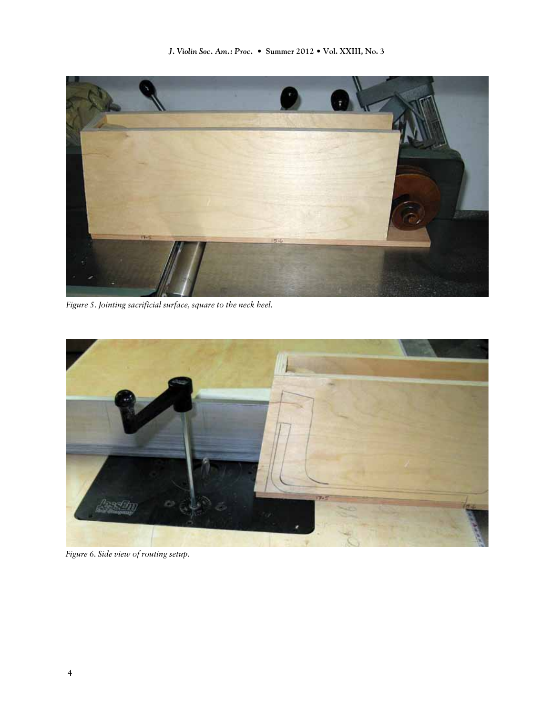

*Figure 5. Jointing sacrificial surface, square to the neck heel.*



*Figure 6. Side view of routing setup.*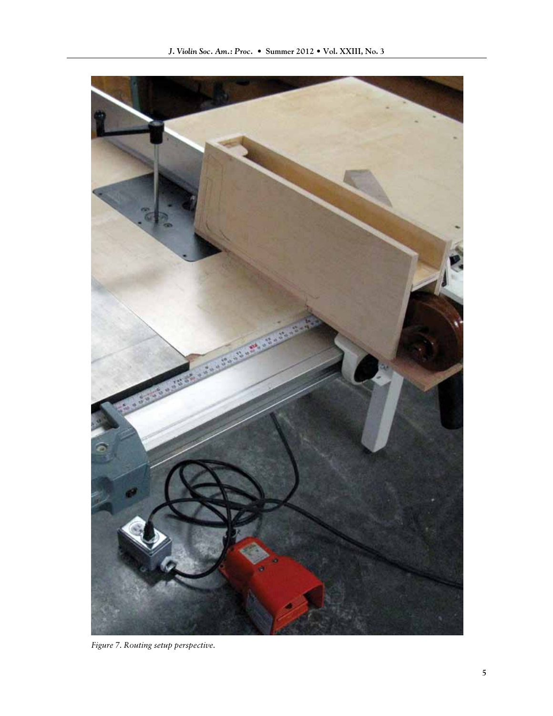

*Figure 7. Routing setup perspective.*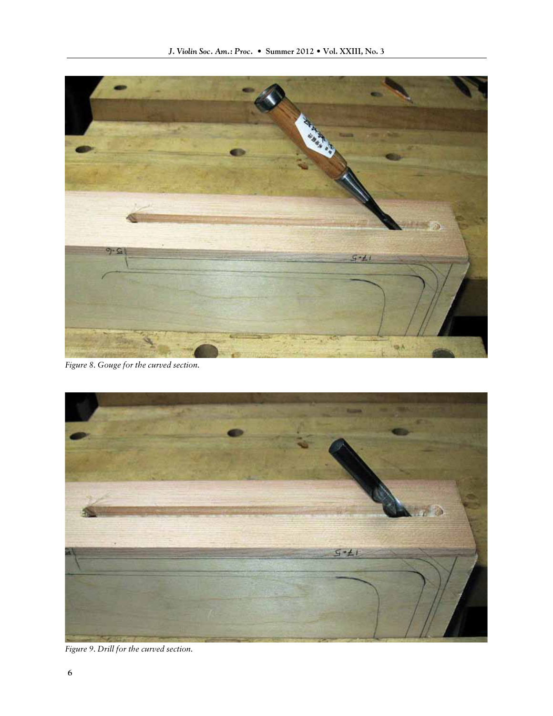

*Figure 8. Gouge for the curved section.*



*Figure 9. Drill for the curved section.*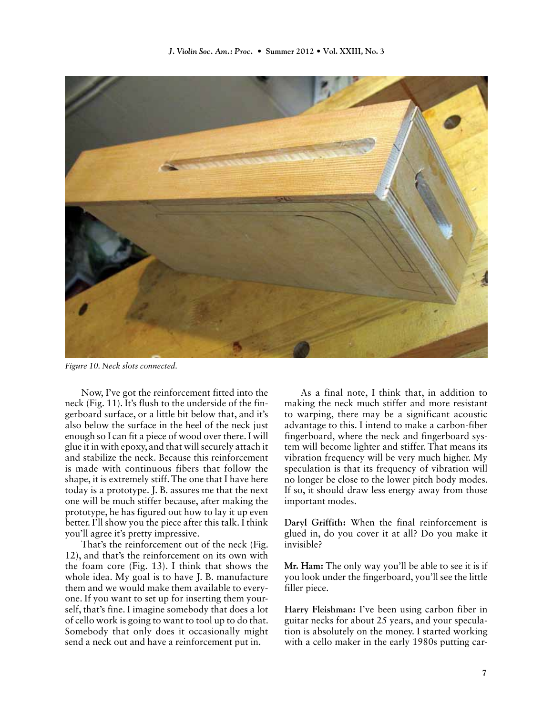

*Figure 10. Neck slots connected.*

Now, I've got the reinforcement fitted into the neck (Fig. 11). It's flush to the underside of the fingerboard surface, or a little bit below that, and it's also below the surface in the heel of the neck just enough so I can fit a piece of wood over there. I will glue it in with epoxy, and that will securely attach it and stabilize the neck. Because this reinforcement is made with continuous fibers that follow the shape, it is extremely stiff. The one that I have here today is a prototype. J. B. assures me that the next one will be much stiffer because, after making the prototype, he has figured out how to lay it up even better. I'll show you the piece after this talk. I think you'll agree it's pretty impressive.

That's the reinforcement out of the neck (Fig. 12), and that's the reinforcement on its own with the foam core (Fig. 13). I think that shows the whole idea. My goal is to have J. B. manufacture them and we would make them available to everyone. If you want to set up for inserting them yourself, that's fine. I imagine somebody that does a lot of cello work is going to want to tool up to do that. Somebody that only does it occasionally might send a neck out and have a reinforcement put in.

As a final note, I think that, in addition to making the neck much stiffer and more resistant to warping, there may be a significant acoustic advantage to this. I intend to make a carbon-fiber fingerboard, where the neck and fingerboard system will become lighter and stiffer. That means its vibration frequency will be very much higher. My speculation is that its frequency of vibration will no longer be close to the lower pitch body modes. If so, it should draw less energy away from those important modes.

**Daryl Griffith:** When the final reinforcement is glued in, do you cover it at all? Do you make it invisible?

**Mr. Ham:** The only way you'll be able to see it is if you look under the fingerboard, you'll see the little filler piece.

**Harry Fleishman:** I've been using carbon fiber in guitar necks for about 25 years, and your speculation is absolutely on the money. I started working with a cello maker in the early 1980s putting car-